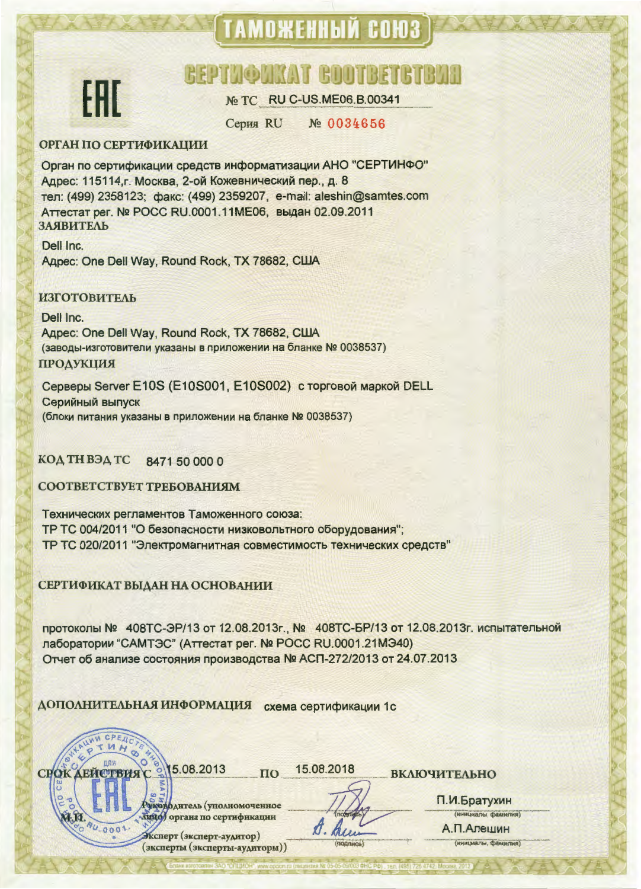# ТАМОЖЕННЫЙ СОЮЗ



## **BEPTHOTKAT BOOTBETG**

No TC RU C-US.ME06.B.00341

**Серия RU** № 0034656

#### **ОРГАН ПО СЕРТИФИКАЦИИ**

Орган по сертификации средств информатизации АНО "СЕРТИНФО" Адрес: 115114, г. Москва, 2-ой Кожевнический пер., д. 8 тел: (499) 2358123; факс: (499) 2359207, e-mail: aleshin@samtes.com Аттестат рег. № РОСС RU.0001.11МЕ06, выдан 02.09.2011 ЗАЯВИТЕЛЬ

Dell Inc. Agpec: One Dell Way, Round Rock, TX 78682, CIJJA

#### **ИЗГОТОВИТЕЛЬ**

Dell Inc. Agpec: One Dell Way, Round Rock, TX 78682, CILIA (заводы-изготовители указаны в приложении на бланке № 0038537) **ПРОДУКЦИЯ** 

Серверы Server E10S (E10S001, E10S002) с торговой маркой DELL Серийный выпуск (блоки питания указаны в приложении на бланке № 0038537)

КОД ТН ВЭД ТС 8471 50 000 0

СООТВЕТСТВУЕТ ТРЕБОВАНИЯМ

Технических регламентов Таможенного союза: ТР ТС 004/2011 "О безопасности низковольтного оборудования"; ТР ТС 020/2011 "Электромагнитная совместимость технических средств"

СЕРТИФИКАТ ВЫДАН НА ОСНОВАНИИ

протоколы № 408ТС-ЭР/13 от 12.08.2013г., № 408ТС-БР/13 от 12.08.2013г. испытательной лаборатории "САМТЭС" (Аттестат рег. № РОСС RU.0001.21МЭ40) Отчет об анализе состояния производства № АСП-272/2013 от 24.07.2013

ДОПОЛНИТЕЛЬНАЯ ИНФОРМАЦИЯ схема сертификации 1с



15.08.2018  $\mathbf{u}$ 

 $\n *A*$ 

**ВКЛЮЧИТЕЛЬНО** 

фаитель (уполномоченное бидо) органа по сертификации

Эксперт (эксперт-аудитор) (эксперты (эксперты-аудиторы)) П.И.Братухин (инициалы, фамилия)

А. П. Алешин ининиалы фамилия